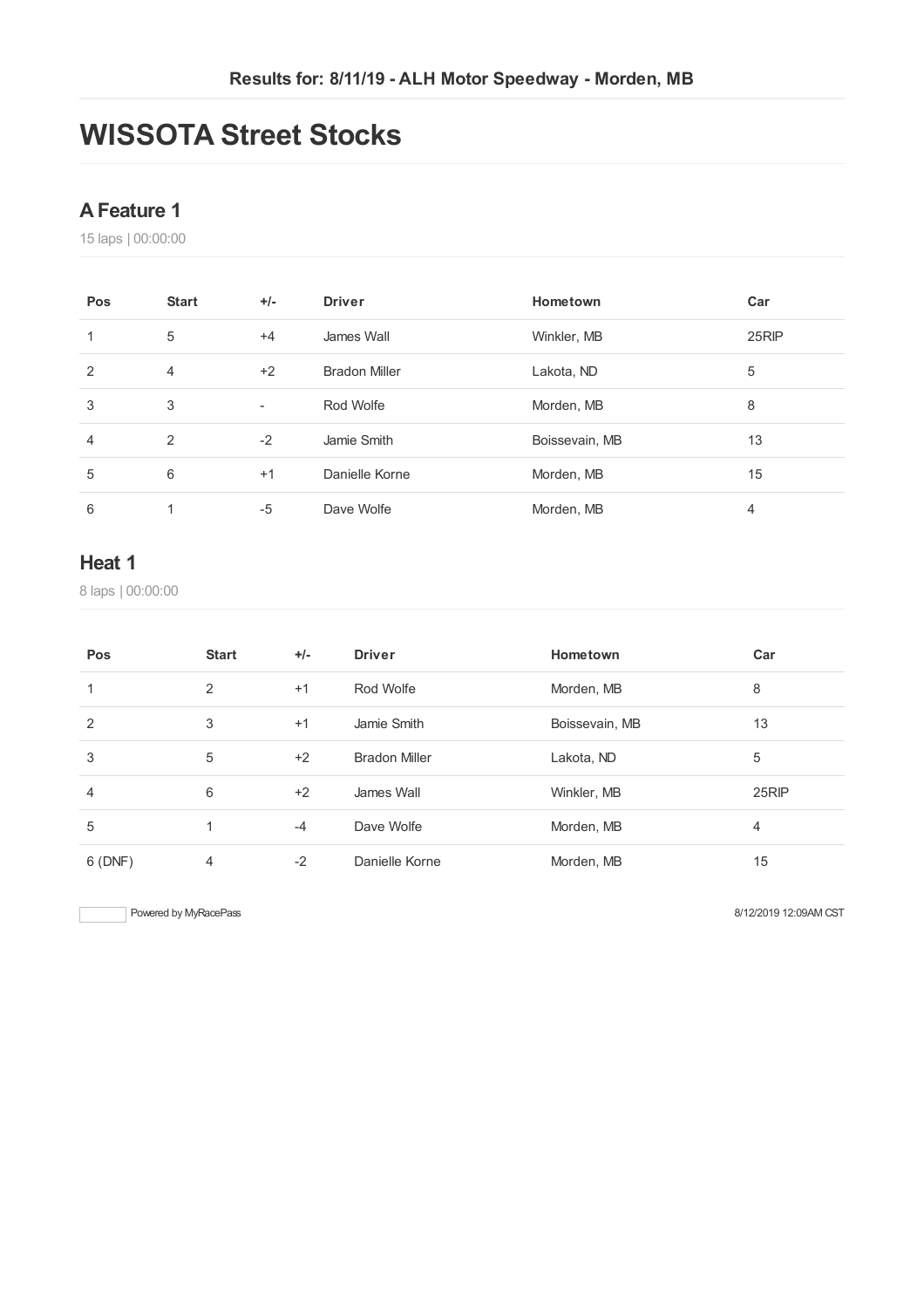## **WISSOTA Street Stocks**

#### **AFeature 1**

laps | 00:00:00

| Pos | <b>Start</b>   | $+/-$                    | <b>Driver</b>        | Hometown       | Car   |
|-----|----------------|--------------------------|----------------------|----------------|-------|
|     | 5              | $+4$                     | James Wall           | Winkler, MB    | 25RIP |
| 2   | $\overline{4}$ | $+2$                     | <b>Bradon Miller</b> | Lakota, ND     | 5     |
| 3   | 3              | $\overline{\phantom{a}}$ | Rod Wolfe            | Morden, MB     | 8     |
| 4   | 2              | $-2$                     | Jamie Smith          | Boissevain, MB | 13    |
| 5   | 6              | $+1$                     | Danielle Korne       | Morden, MB     | 15    |
| 6   |                | $-5$                     | Dave Wolfe           | Morden, MB     | 4     |

#### **Heat 1**

laps | 00:00:00

| Pos     | <b>Start</b> | $+/-$ | <b>Driver</b>        | Hometown       | Car   |
|---------|--------------|-------|----------------------|----------------|-------|
|         | 2            | $+1$  | Rod Wolfe            | Morden, MB     | 8     |
| 2       | 3            | $+1$  | Jamie Smith          | Boissevain, MB | 13    |
| 3       | 5            | $+2$  | <b>Bradon Miller</b> | Lakota, ND     | 5     |
| 4       | 6            | $+2$  | James Wall           | Winkler, MB    | 25RIP |
| 5       |              | $-4$  | Dave Wolfe           | Morden, MB     | 4     |
| 6 (DNF) | 4            | $-2$  | Danielle Korne       | Morden, MB     | 15    |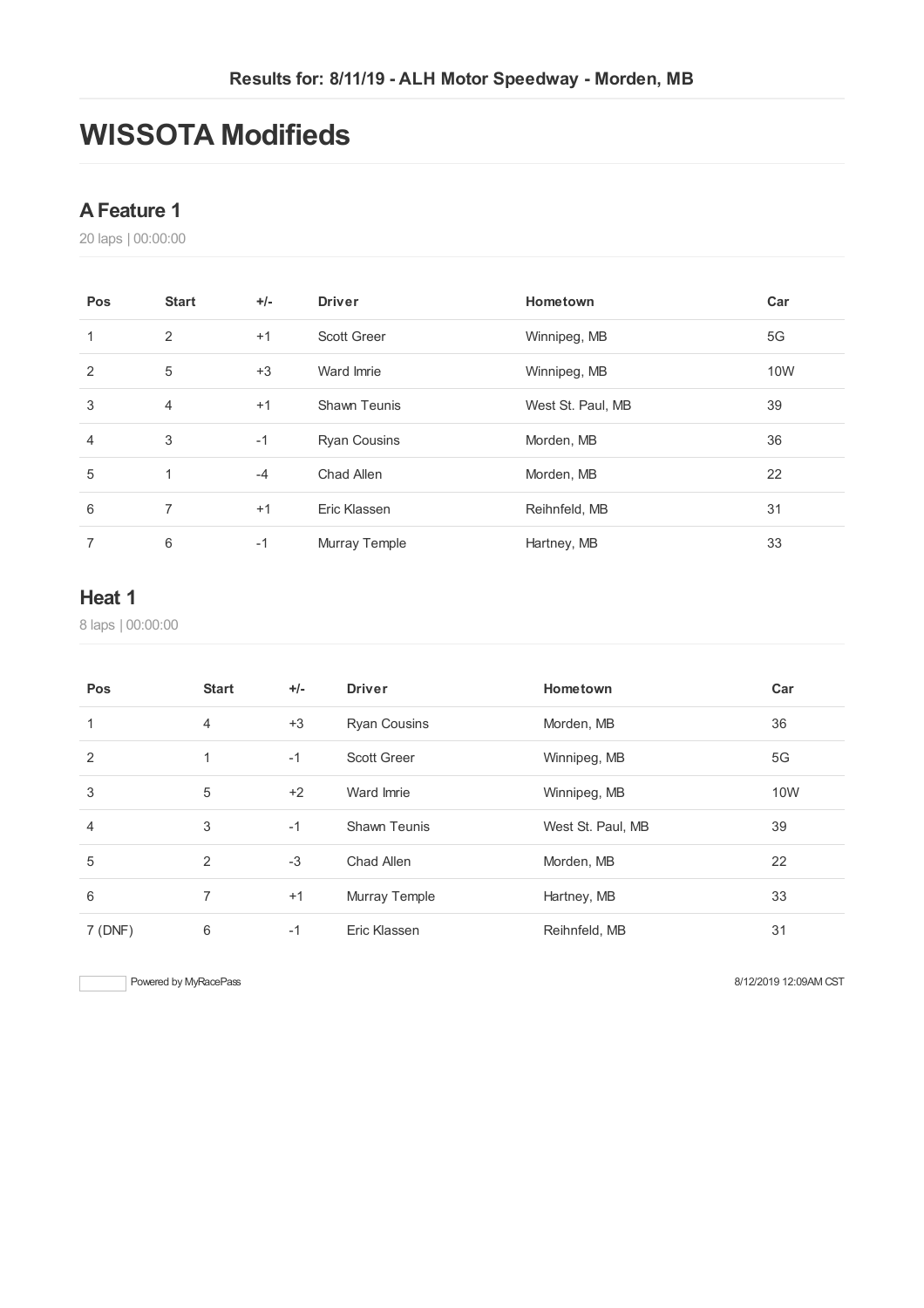## **WISSOTA Modifieds**

#### **AFeature 1**

laps | 00:00:00

| Pos | <b>Start</b>   | $+/-$ | <b>Driver</b>       | Hometown          | Car        |
|-----|----------------|-------|---------------------|-------------------|------------|
| 1   | 2              | $+1$  | <b>Scott Greer</b>  | Winnipeg, MB      | 5G         |
| 2   | 5              | $+3$  | Ward Imrie          | Winnipeg, MB      | <b>10W</b> |
| 3   | $\overline{4}$ | $+1$  | <b>Shawn Teunis</b> | West St. Paul, MB | 39         |
| 4   | 3              | $-1$  | <b>Ryan Cousins</b> | Morden, MB        | 36         |
| 5   | $\mathbf{1}$   | $-4$  | Chad Allen          | Morden, MB        | 22         |
| 6   | $\overline{7}$ | $+1$  | Eric Klassen        | Reihnfeld, MB     | 31         |
|     | 6              | $-1$  | Murray Temple       | Hartney, MB       | 33         |

#### **Heat 1**

laps | 00:00:00

| Pos            | <b>Start</b>   | $+/-$ | <b>Driver</b>        | Hometown          | Car |
|----------------|----------------|-------|----------------------|-------------------|-----|
| 1              | $\overline{4}$ | $+3$  | <b>Ryan Cousins</b>  | Morden, MB        | 36  |
| $\overline{2}$ |                | $-1$  | <b>Scott Greer</b>   | Winnipeg, MB      | 5G  |
| 3              | 5              | $+2$  | Ward Imrie           | Winnipeg, MB      | 10W |
| 4              | 3              | $-1$  | <b>Shawn Teunis</b>  | West St. Paul, MB | 39  |
| 5              | 2              | $-3$  | Chad Allen           | Morden, MB        | 22  |
| 6              | 7              | $+1$  | <b>Murray Temple</b> | Hartney, MB       | 33  |
| 7 (DNF)        | 6              | $-1$  | Eric Klassen         | Reihnfeld, MB     | 31  |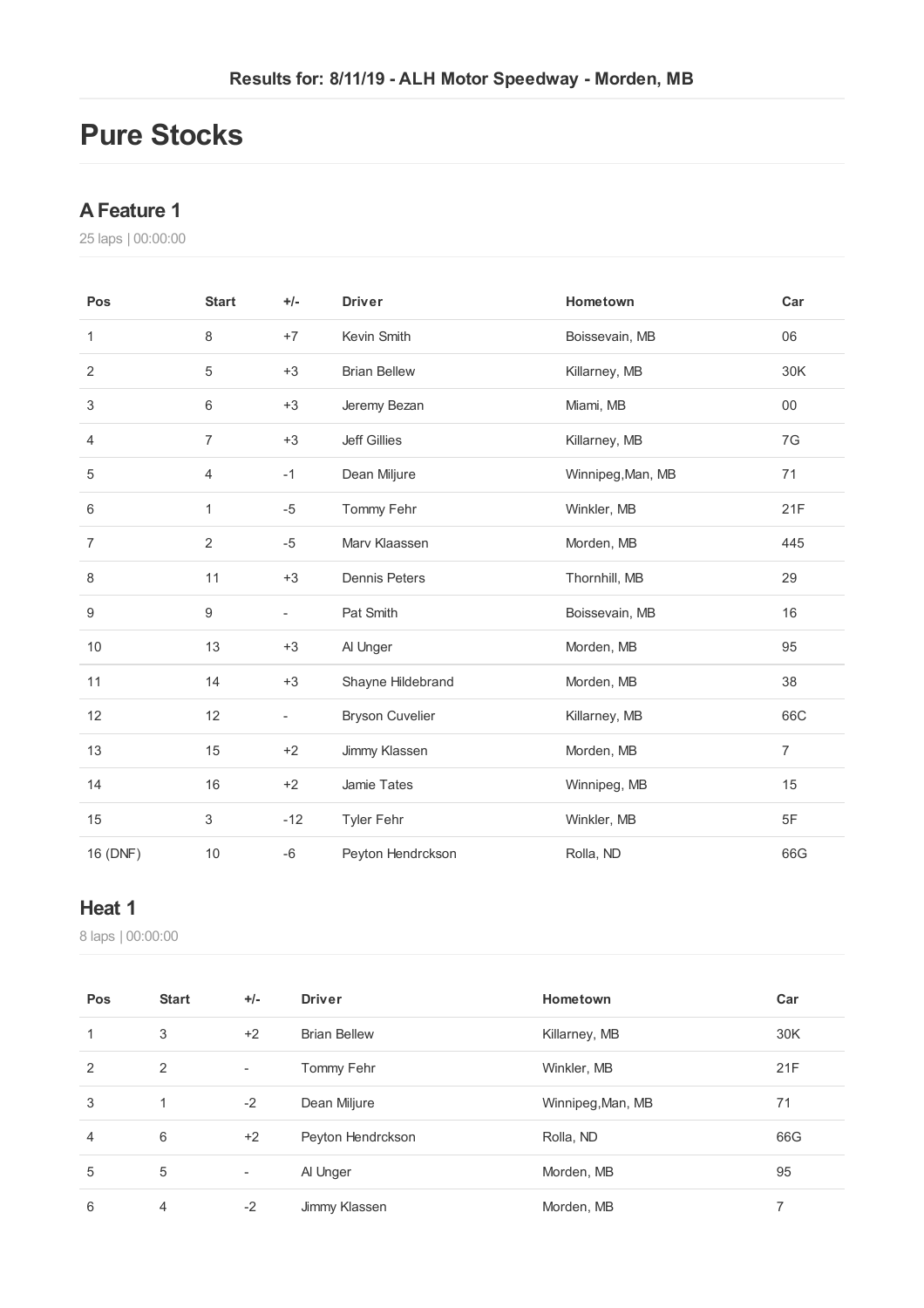### **Pure Stocks**

#### **AFeature 1**

laps | 00:00:00

| Pos              | <b>Start</b>     | $+/-$                    | <b>Driver</b>          | Hometown          | Car            |
|------------------|------------------|--------------------------|------------------------|-------------------|----------------|
| 1                | 8                | $+7$                     | Kevin Smith            | Boissevain, MB    | 06             |
| $\overline{2}$   | 5                | $+3$                     | <b>Brian Bellew</b>    | Killarney, MB     | 30K            |
| 3                | 6                | $+3$                     | Jeremy Bezan           | Miami, MB         | $00\,$         |
| 4                | $\overline{7}$   | $+3$                     | <b>Jeff Gillies</b>    | Killarney, MB     | 7G             |
| $\,$ 5 $\,$      | $\overline{4}$   | $-1$                     | Dean Miljure           | Winnipeg, Man, MB | 71             |
| 6                | 1                | $-5$                     | Tommy Fehr             | Winkler, MB       | 21F            |
| $\overline{7}$   | $\overline{2}$   | $-5$                     | Marv Klaassen          | Morden, MB        | 445            |
| 8                | 11               | $+3$                     | <b>Dennis Peters</b>   | Thornhill, MB     | 29             |
| $\boldsymbol{9}$ | $\boldsymbol{9}$ | $\overline{\phantom{a}}$ | Pat Smith              | Boissevain, MB    | 16             |
| 10               | 13               | $+3$                     | Al Unger               | Morden, MB        | 95             |
| 11               | 14               | $+3$                     | Shayne Hildebrand      | Morden, MB        | 38             |
| 12               | 12               | $\overline{\phantom{a}}$ | <b>Bryson Cuvelier</b> | Killarney, MB     | 66C            |
| 13               | 15               | $+2$                     | Jimmy Klassen          | Morden, MB        | $\overline{7}$ |
| 14               | 16               | $+2$                     | Jamie Tates            | Winnipeg, MB      | 15             |
| 15               | 3                | $-12$                    | <b>Tyler Fehr</b>      | Winkler, MB       | 5F             |
| 16 (DNF)         | 10               | $-6$                     | Peyton Hendrckson      | Rolla, ND         | 66G            |

#### **Heat 1**

laps | 00:00:00

| Pos            | <b>Start</b> | $+/-$                    | <b>Driver</b>       | Hometown          | Car |
|----------------|--------------|--------------------------|---------------------|-------------------|-----|
| 1              | 3            | $+2$                     | <b>Brian Bellew</b> | Killarney, MB     | 30K |
| 2              | 2            | $\overline{\phantom{a}}$ | Tommy Fehr          | Winkler, MB       | 21F |
| 3              | 1            | $-2$                     | Dean Miljure        | Winnipeg, Man, MB | 71  |
| $\overline{4}$ | 6            | $+2$                     | Peyton Hendrckson   | Rolla, ND         | 66G |
| 5              | 5            | $\overline{\phantom{a}}$ | Al Unger            | Morden, MB        | 95  |
| 6              | 4            | $-2$                     | Jimmy Klassen       | Morden, MB        | 7   |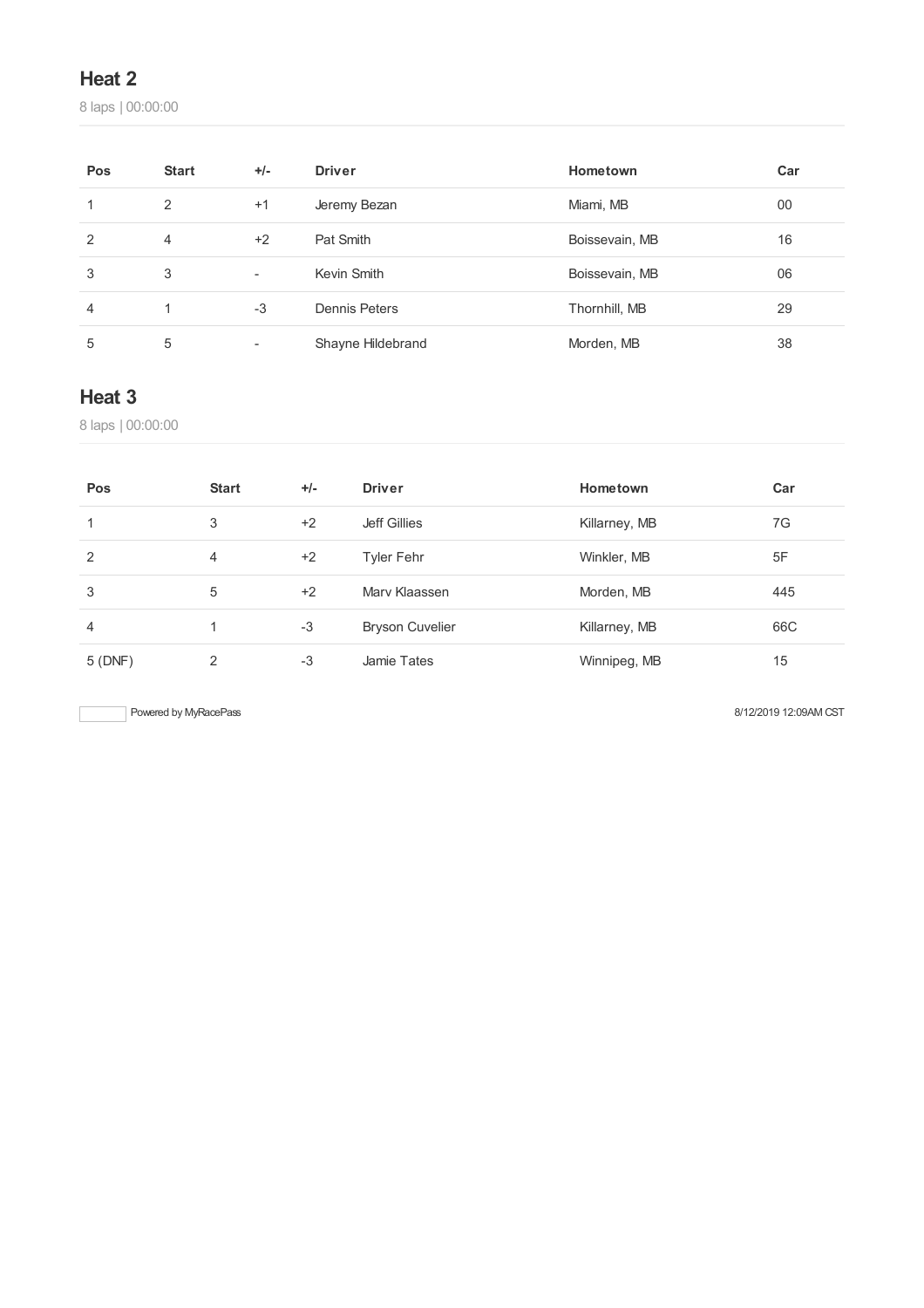#### **Heat 2**

laps | 00:00:00

| Pos | <b>Start</b> | $+/-$                    | <b>Driver</b>     | Hometown       | Car |
|-----|--------------|--------------------------|-------------------|----------------|-----|
|     | 2            | $+1$                     | Jeremy Bezan      | Miami, MB      | 00  |
| 2   | 4            | $+2$                     | Pat Smith         | Boissevain, MB | 16  |
| 3   | 3            | $\overline{\phantom{0}}$ | Kevin Smith       | Boissevain, MB | 06  |
| 4   |              | $-3$                     | Dennis Peters     | Thornhill, MB  | 29  |
| 5   | 5            | $\overline{\phantom{0}}$ | Shayne Hildebrand | Morden, MB     | 38  |

#### **Heat 3**

laps | 00:00:00

| Pos    | <b>Start</b> | $+/-$ | <b>Driver</b>          | Hometown      | Car |
|--------|--------------|-------|------------------------|---------------|-----|
| 1      | 3            | $+2$  | Jeff Gillies           | Killarney, MB | 7G  |
| 2      | 4            | $+2$  | Tyler Fehr             | Winkler, MB   | 5F  |
| 3      | 5            | $+2$  | Mary Klaassen          | Morden, MB    | 445 |
| 4      |              | $-3$  | <b>Bryson Cuvelier</b> | Killarney, MB | 66C |
| 5(DNF) | 2            | $-3$  | Jamie Tates            | Winnipeg, MB  | 15  |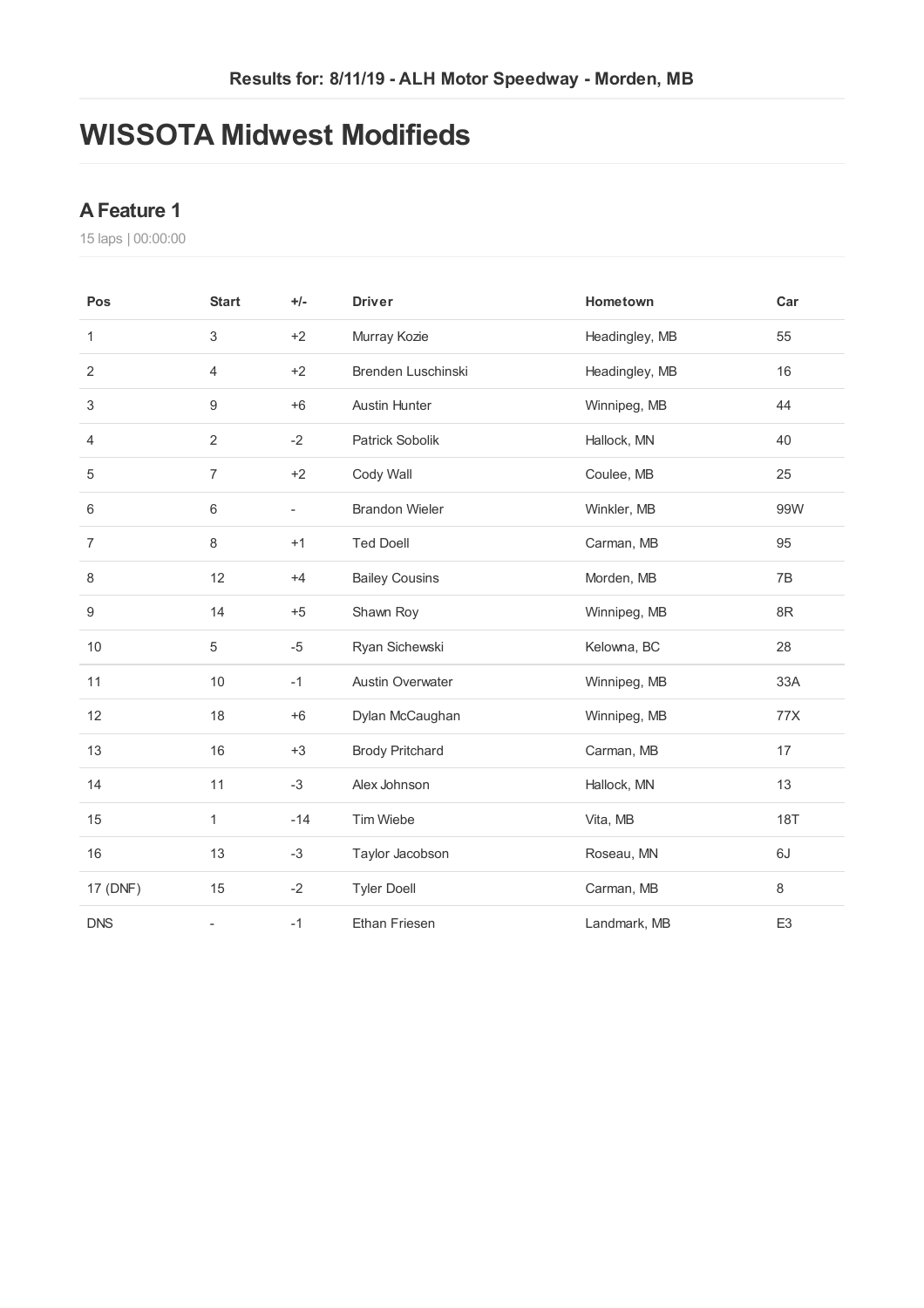### **WISSOTA Midwest Modifieds**

#### **AFeature 1**

laps | 00:00:00

| Pos              | <b>Start</b>             | $+/-$                    | <b>Driver</b>           | Hometown       | Car            |
|------------------|--------------------------|--------------------------|-------------------------|----------------|----------------|
| 1                | 3                        | $+2$                     | Murray Kozie            | Headingley, MB | 55             |
| $\overline{2}$   | $\overline{4}$           | $+2$                     | Brenden Luschinski      | Headingley, MB | 16             |
| 3                | 9                        | $+6$                     | <b>Austin Hunter</b>    | Winnipeg, MB   | 44             |
| 4                | $\overline{2}$           | $-2$                     | Patrick Sobolik         | Hallock, MN    | 40             |
| 5                | $\overline{7}$           | $+2$                     | Cody Wall               | Coulee, MB     | 25             |
| 6                | 6                        | $\overline{\phantom{a}}$ | <b>Brandon Wieler</b>   | Winkler, MB    | 99W            |
| $\overline{7}$   | 8                        | $+1$                     | <b>Ted Doell</b>        | Carman, MB     | 95             |
| 8                | 12                       | $+4$                     | <b>Bailey Cousins</b>   | Morden, MB     | 7B             |
| $\boldsymbol{9}$ | 14                       | $+5$                     | Shawn Roy               | Winnipeg, MB   | 8R             |
| $10$             | $\,$ 5 $\,$              | $-5$                     | Ryan Sichewski          | Kelowna, BC    | 28             |
| 11               | 10                       | $-1$                     | <b>Austin Overwater</b> | Winnipeg, MB   | 33A            |
| 12               | 18                       | $+6$                     | Dylan McCaughan         | Winnipeg, MB   | 77X            |
| 13               | 16                       | $+3$                     | <b>Brody Pritchard</b>  | Carman, MB     | 17             |
| 14               | 11                       | $-3$                     | Alex Johnson            | Hallock, MN    | 13             |
| 15               | 1                        | $-14$                    | Tim Wiebe               | Vita, MB       | <b>18T</b>     |
| 16               | 13                       | $-3$                     | Taylor Jacobson         | Roseau, MN     | 6J             |
| 17 (DNF)         | 15                       | $-2$                     | <b>Tyler Doell</b>      | Carman, MB     | $\,8\,$        |
| <b>DNS</b>       | $\overline{\phantom{a}}$ | $-1$                     | <b>Ethan Friesen</b>    | Landmark, MB   | E <sub>3</sub> |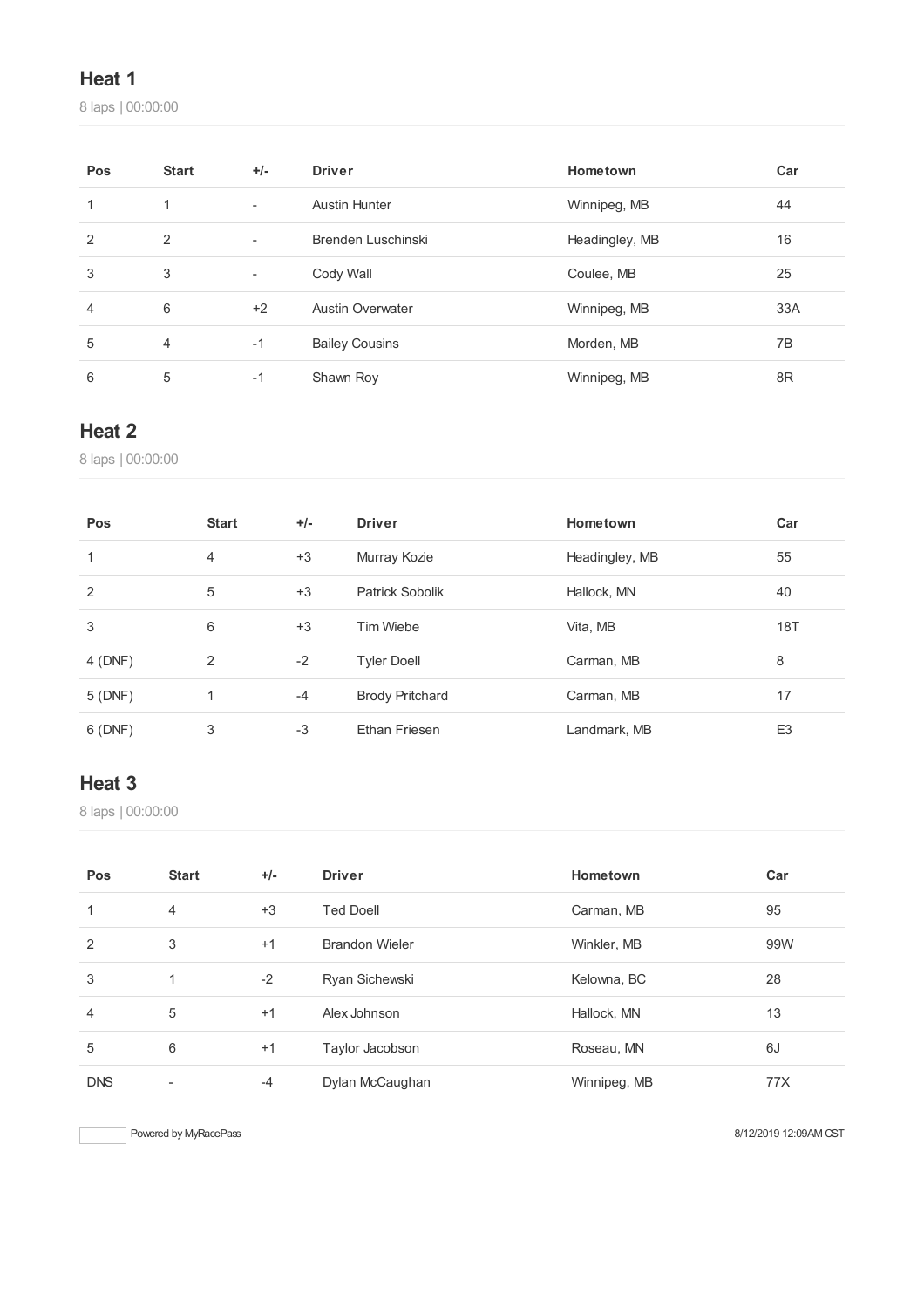### **Heat 1**

laps | 00:00:00

| Pos | <b>Start</b>   | $+/-$                    | <b>Driver</b>           | Hometown       | Car |
|-----|----------------|--------------------------|-------------------------|----------------|-----|
| 1   | 1              | $\overline{\phantom{a}}$ | <b>Austin Hunter</b>    | Winnipeg, MB   | 44  |
| 2   | 2              | $\overline{\phantom{a}}$ | Brenden Luschinski      | Headingley, MB | 16  |
| 3   | 3              | $\sim$                   | Cody Wall               | Coulee, MB     | 25  |
| 4   | 6              | $+2$                     | <b>Austin Overwater</b> | Winnipeg, MB   | 33A |
| 5   | $\overline{4}$ | $-1$                     | <b>Bailey Cousins</b>   | Morden, MB     | 7B  |
| 6   | 5              | $-1$                     | Shawn Roy               | Winnipeg, MB   | 8R  |

#### **Heat 2**

laps | 00:00:00

| Pos     | <b>Start</b>   | $+/-$ | <b>Driver</b>          | Hometown       | Car            |
|---------|----------------|-------|------------------------|----------------|----------------|
| 1       | $\overline{4}$ | $+3$  | Murray Kozie           | Headingley, MB | 55             |
| 2       | 5              | $+3$  | Patrick Sobolik        | Hallock, MN    | 40             |
| 3       | 6              | $+3$  | Tim Wiebe              | Vita, MB       | 18T            |
| 4 (DNF) | 2              | $-2$  | <b>Tyler Doell</b>     | Carman, MB     | 8              |
| 5(DNF)  | 1              | $-4$  | <b>Brody Pritchard</b> | Carman, MB     | 17             |
| 6 (DNF) | 3              | $-3$  | Ethan Friesen          | Landmark, MB   | E <sub>3</sub> |

### **Heat 3**

laps | 00:00:00

| Pos        | <b>Start</b>   | $+/-$ | <b>Driver</b>         | Hometown     | Car |
|------------|----------------|-------|-----------------------|--------------|-----|
| 1          | $\overline{4}$ | $+3$  | <b>Ted Doell</b>      | Carman, MB   | 95  |
| 2          | 3              | $+1$  | <b>Brandon Wieler</b> | Winkler, MB  | 99W |
| 3          | 1              | $-2$  | Ryan Sichewski        | Kelowna, BC  | 28  |
| 4          | 5              | $+1$  | Alex Johnson          | Hallock, MN  | 13  |
| 5          | 6              | $+1$  | Taylor Jacobson       | Roseau, MN   | 6J  |
| <b>DNS</b> | ٠              | $-4$  | Dylan McCaughan       | Winnipeg, MB | 77X |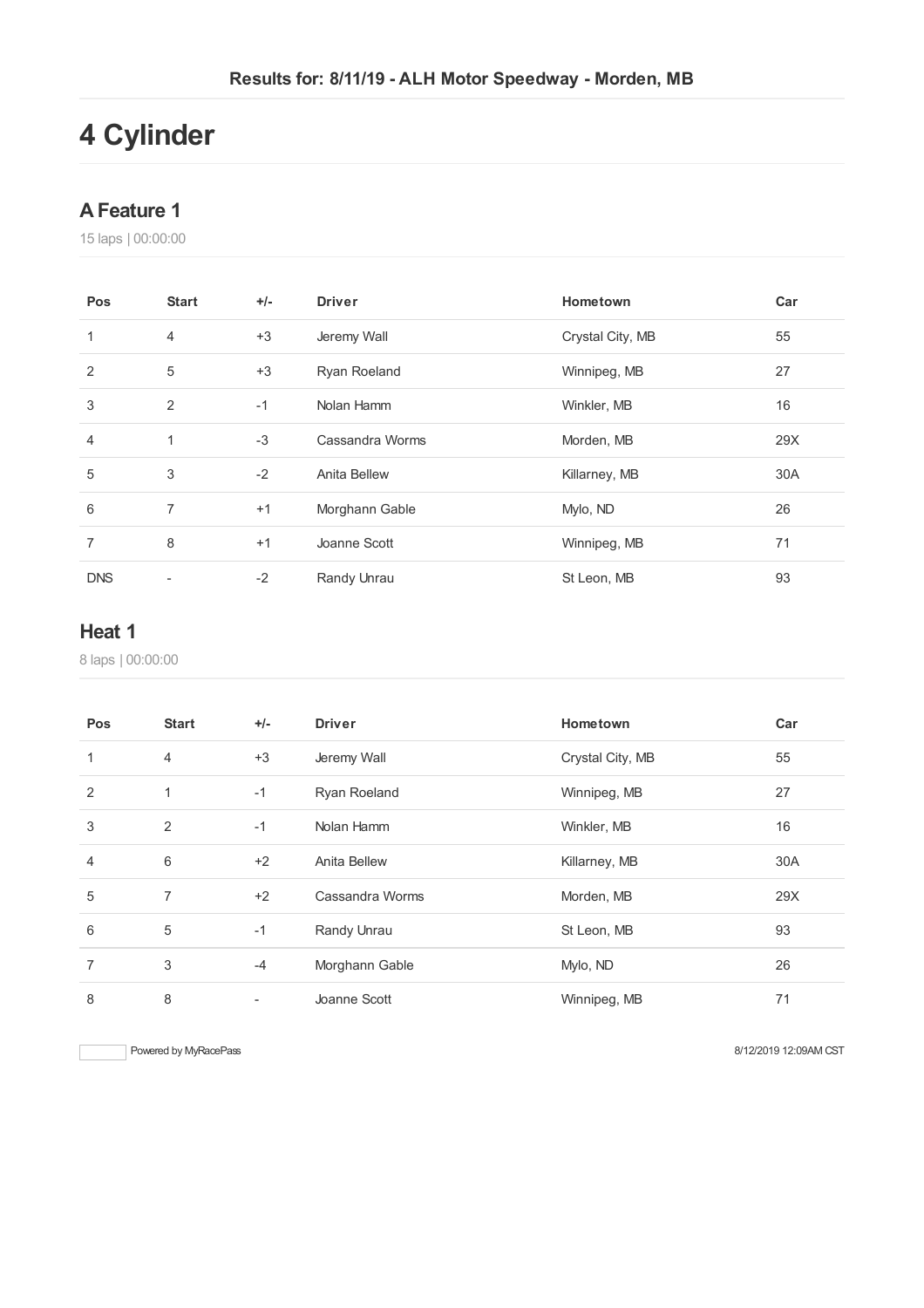# **Cylinder**

#### **AFeature 1**

laps | 00:00:00

| Pos        | <b>Start</b>             | $+/-$ | <b>Driver</b>   | Hometown         | Car |
|------------|--------------------------|-------|-----------------|------------------|-----|
| 1          | $\overline{4}$           | $+3$  | Jeremy Wall     | Crystal City, MB | 55  |
| 2          | 5                        | $+3$  | Ryan Roeland    | Winnipeg, MB     | 27  |
| 3          | 2                        | $-1$  | Nolan Hamm      | Winkler, MB      | 16  |
| 4          | $\mathbf{1}$             | $-3$  | Cassandra Worms | Morden, MB       | 29X |
| 5          | 3                        | $-2$  | Anita Bellew    | Killarney, MB    | 30A |
| 6          | 7                        | $+1$  | Morghann Gable  | Mylo, ND         | 26  |
| 7          | 8                        | $+1$  | Joanne Scott    | Winnipeg, MB     | 71  |
| <b>DNS</b> | $\overline{\phantom{a}}$ | $-2$  | Randy Unrau     | St Leon, MB      | 93  |

#### **Heat 1**

laps | 00:00:00

| Pos            | <b>Start</b>   | $+/-$ | <b>Driver</b>       | Hometown         | Car |
|----------------|----------------|-------|---------------------|------------------|-----|
| $\mathbf{1}$   | $\overline{4}$ | $+3$  | Jeremy Wall         | Crystal City, MB | 55  |
| 2              | 1              | $-1$  | <b>Ryan Roeland</b> | Winnipeg, MB     | 27  |
| 3              | 2              | $-1$  | Nolan Hamm          | Winkler, MB      | 16  |
| $\overline{4}$ | $6\,$          | $+2$  | <b>Anita Bellew</b> | Killarney, MB    | 30A |
| 5              | 7              | $+2$  | Cassandra Worms     | Morden, MB       | 29X |
| 6              | 5              | $-1$  | Randy Unrau         | St Leon, MB      | 93  |
| $\overline{7}$ | 3              | $-4$  | Morghann Gable      | Mylo, ND         | 26  |
| 8              | 8              |       | Joanne Scott        | Winnipeg, MB     | 71  |